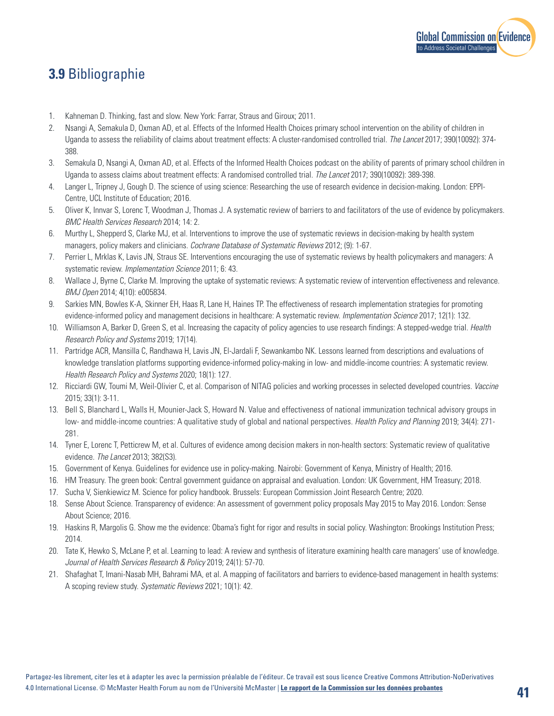

## **3.9** Bibliographie

- 1. Kahneman D. Thinking, fast and slow. New York: Farrar, Straus and Giroux; 2011.
- 2. Nsangi A, Semakula D, Oxman AD, et al. Effects of the Informed Health Choices primary school intervention on the ability of children in Uganda to assess the reliability of claims about treatment effects: A cluster-randomised controlled trial. *The Lancet* 2017; 390(10092): 374- 388.
- 3. Semakula D, Nsangi A, Oxman AD, et al. Effects of the Informed Health Choices podcast on the ability of parents of primary school children in Uganda to assess claims about treatment effects: A randomised controlled trial. *The Lancet* 2017; 390(10092): 389-398.
- 4. Langer L, Tripney J, Gough D. The science of using science: Researching the use of research evidence in decision-making. London: EPPI-Centre, UCL Institute of Education; 2016.
- 5. Oliver K, Innvar S, Lorenc T, Woodman J, Thomas J. A systematic review of barriers to and facilitators of the use of evidence by policymakers. *BMC Health Services Research* 2014; 14: 2.
- 6. Murthy L, Shepperd S, Clarke MJ, et al. Interventions to improve the use of systematic reviews in decision-making by health system managers, policy makers and clinicians. *Cochrane Database of Systematic Reviews* 2012; (9): 1-67.
- 7. Perrier L, Mrklas K, Lavis JN, Straus SE. Interventions encouraging the use of systematic reviews by health policymakers and managers: A systematic review. *Implementation Science* 2011; 6: 43.
- 8. Wallace J, Byrne C, Clarke M. Improving the uptake of systematic reviews: A systematic review of intervention effectiveness and relevance. *BMJ Open* 2014; 4(10): e005834.
- 9. Sarkies MN, Bowles K-A, Skinner EH, Haas R, Lane H, Haines TP. The effectiveness of research implementation strategies for promoting evidence-informed policy and management decisions in healthcare: A systematic review. *Implementation Science* 2017; 12(1): 132.
- 10. Williamson A, Barker D, Green S, et al. Increasing the capacity of policy agencies to use research findings: A stepped-wedge trial. *Health Research Policy and Systems* 2019; 17(14).
- 11. Partridge ACR, Mansilla C, Randhawa H, Lavis JN, El-Jardali F, Sewankambo NK. Lessons learned from descriptions and evaluations of knowledge translation platforms supporting evidence-informed policy-making in low- and middle-income countries: A systematic review. *Health Research Policy and Systems* 2020; 18(1): 127.
- 12. Ricciardi GW, Toumi M, Weil-Olivier C, et al. Comparison of NITAG policies and working processes in selected developed countries. *Vaccine* 2015; 33(1): 3-11.
- 13. Bell S, Blanchard L, Walls H, Mounier-Jack S, Howard N. Value and effectiveness of national immunization technical advisory groups in low- and middle-income countries: A qualitative study of global and national perspectives. *Health Policy and Planning* 2019; 34(4): 271- 281.
- 14. Tyner E, Lorenc T, Petticrew M, et al. Cultures of evidence among decision makers in non-health sectors: Systematic review of qualitative evidence. *The Lancet* 2013; 382(S3).
- 15. Government of Kenya. Guidelines for evidence use in policy-making. Nairobi: Government of Kenya, Ministry of Health; 2016.
- 16. HM Treasury. The green book: Central government guidance on appraisal and evaluation. London: UK Government, HM Treasury; 2018.
- 17. Sucha V, Sienkiewicz M. Science for policy handbook. Brussels: European Commission Joint Research Centre; 2020.
- 18. Sense About Science. Transparency of evidence: An assessment of government policy proposals May 2015 to May 2016. London: Sense About Science; 2016.
- 19. Haskins R, Margolis G. Show me the evidence: Obama's fight for rigor and results in social policy. Washington: Brookings Institution Press; 2014.
- 20. Tate K, Hewko S, McLane P, et al. Learning to lead: A review and synthesis of literature examining health care managers' use of knowledge. *Journal of Health Services Research & Policy* 2019; 24(1): 57-70.
- 21. Shafaghat T, Imani-Nasab MH, Bahrami MA, et al. A mapping of facilitators and barriers to evidence-based management in health systems: A scoping review study. *Systematic Reviews* 2021; 10(1): 42.